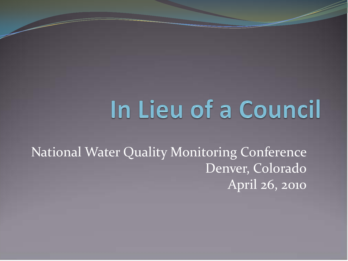## In Lieu of a Council

National Water Quality Monitoring Conference Denver, Colorado April 26, 2010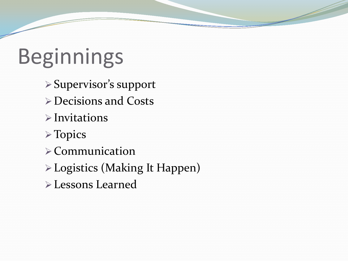# **Beginnings**

- Supervisor's support
- Decisions and Costs
- $\triangleright$  Invitations
- Topics
- $\triangleright$  Communication
- Logistics (Making It Happen)
- Lessons Learned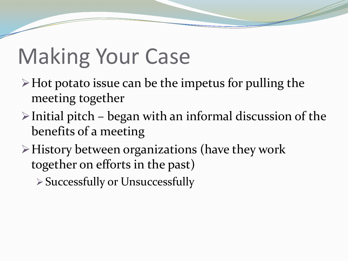### Making Your Case

- $\triangleright$  Hot potato issue can be the impetus for pulling the meeting together
- $\triangleright$  Initial pitch began with an informal discussion of the benefits of a meeting
- $\triangleright$  History between organizations (have they work together on efforts in the past)

Successfully or Unsuccessfully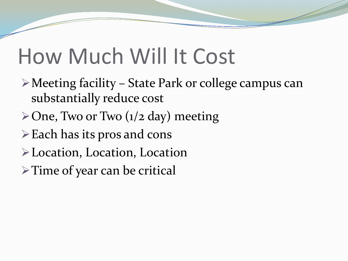#### How Much Will It Cost

- Meeting facility State Park or college campus can substantially reduce cost
- $\geq$  One, Two or Two (1/2 day) meeting
- $\triangleright$  Each has its pros and cons
- Location, Location, Location
- > Time of year can be critical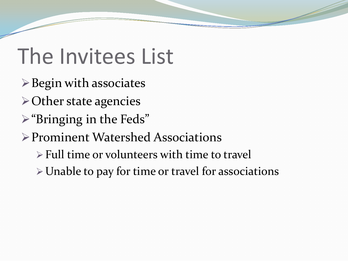### The Invitees List

- $\triangleright$  Begin with associates
- Other state agencies
- "Bringing in the Feds"
- Prominent Watershed Associations
	- $\triangleright$  Full time or volunteers with time to travel
	- Unable to pay for time or travel for associations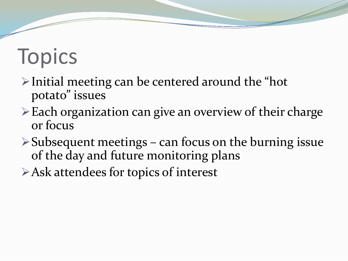# **Topics**

- $\triangleright$  Initial meeting can be centered around the "hot" potato" issues
- Each organization can give an overview of their charge or focus
- $\triangleright$  Subsequent meetings can focus on the burning issue of the day and future monitoring plans
- Ask attendees for topics of interest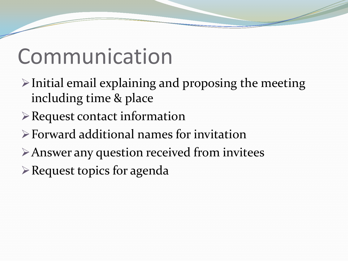### Communication

- $\triangleright$  Initial email explaining and proposing the meeting including time & place
- Request contact information
- Forward additional names for invitation
- Answer any question received from invitees
- Request topics for agenda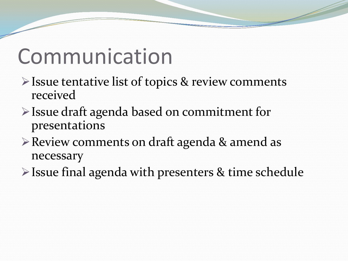### Communication

- $\triangleright$  Issue tentative list of topics & review comments received
- Issue draft agenda based on commitment for presentations
- Review comments on draft agenda & amend as necessary
- Issue final agenda with presenters & time schedule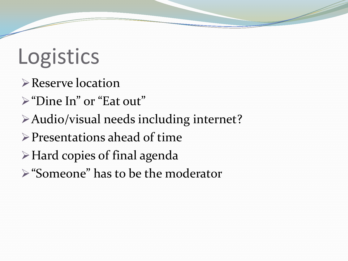## Logistics

- **Reserve location**
- "Dine In" or "Eat out"
- Audio/visual needs including internet?
- $\triangleright$  Presentations ahead of time
- Hard copies of final agenda
- "Someone" has to be the moderator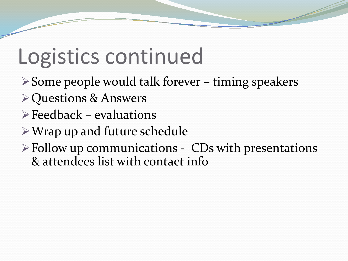### Logistics continued

- $\triangleright$  Some people would talk forever timing speakers
- Questions & Answers
- $\triangleright$  Feedback evaluations
- Wrap up and future schedule
- $\triangleright$  Follow up communications CDs with presentations & attendees list with contact info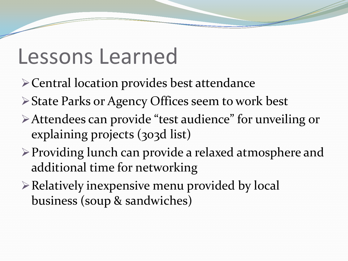#### Lessons Learned

- Central location provides best attendance
- State Parks or Agency Offices seem to work best
- Attendees can provide "test audience" for unveiling or explaining projects (303d list)
- Providing lunch can provide a relaxed atmosphere and additional time for networking
- Relatively inexpensive menu provided by local business (soup & sandwiches)